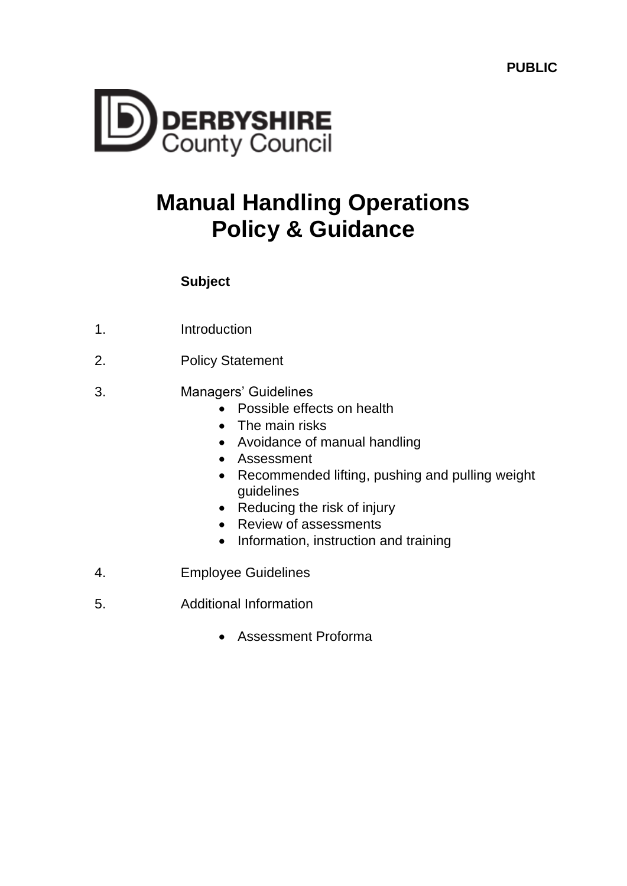**PUBLIC**



# **Manual Handling Operations Policy & Guidance**

# **Subject**

- 1. Introduction
- 2. Policy Statement
- 3. Managers' Guidelines
	- Possible effects on health
	- The main risks
	- Avoidance of manual handling
	- Assessment
	- Recommended lifting, pushing and pulling weight guidelines
	- Reducing the risk of injury
	- Review of assessments
	- Information, instruction and training
- 4. Employee Guidelines
- 5. Additional Information
	- Assessment Proforma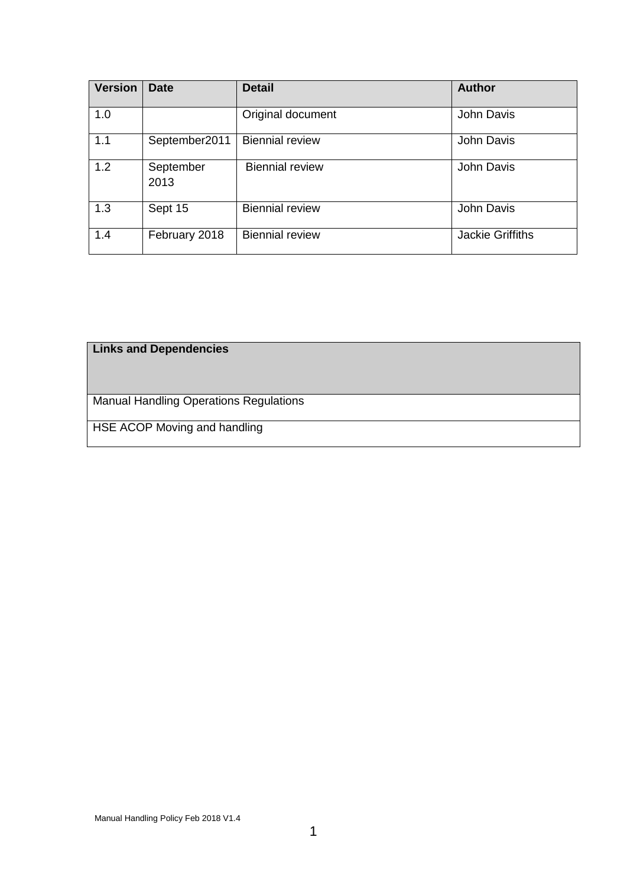| <b>Version</b> | <b>Date</b>       | <b>Detail</b>          | <b>Author</b>           |
|----------------|-------------------|------------------------|-------------------------|
| 1.0            |                   | Original document      | John Davis              |
| 1.1            | September2011     | <b>Biennial review</b> | John Davis              |
| 1.2            | September<br>2013 | <b>Biennial review</b> | John Davis              |
| 1.3            | Sept 15           | <b>Biennial review</b> | John Davis              |
| 1.4            | February 2018     | <b>Biennial review</b> | <b>Jackie Griffiths</b> |

# **Links and Dependencies**

Manual Handling Operations Regulations

HSE ACOP Moving and handling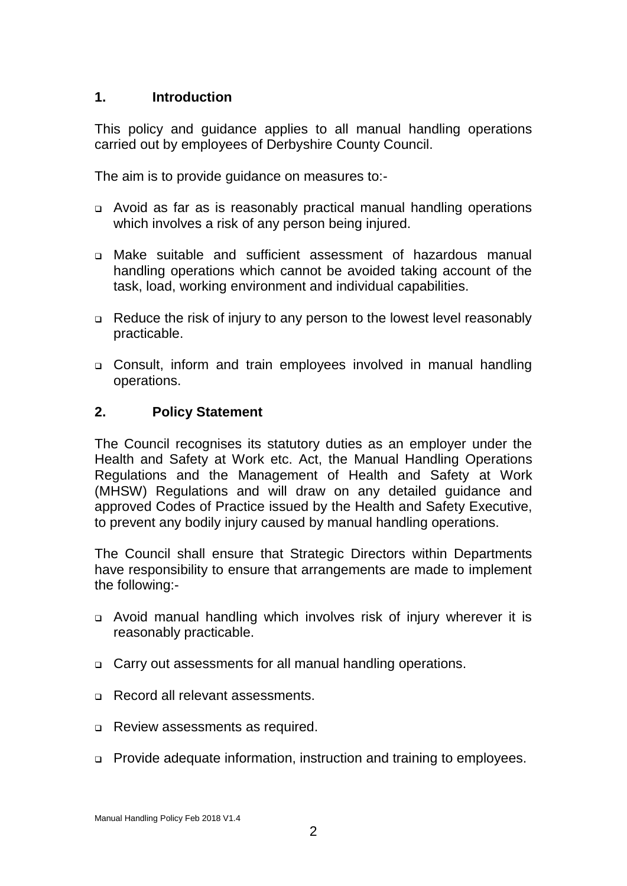## **1. Introduction**

This policy and guidance applies to all manual handling operations carried out by employees of Derbyshire County Council.

The aim is to provide guidance on measures to:-

- Avoid as far as is reasonably practical manual handling operations which involves a risk of any person being injured.
- Make suitable and sufficient assessment of hazardous manual handling operations which cannot be avoided taking account of the task, load, working environment and individual capabilities.
- □ Reduce the risk of injury to any person to the lowest level reasonably practicable.
- Consult, inform and train employees involved in manual handling operations.

#### **2. Policy Statement**

The Council recognises its statutory duties as an employer under the Health and Safety at Work etc. Act, the Manual Handling Operations Regulations and the Management of Health and Safety at Work (MHSW) Regulations and will draw on any detailed guidance and approved Codes of Practice issued by the Health and Safety Executive, to prevent any bodily injury caused by manual handling operations.

The Council shall ensure that Strategic Directors within Departments have responsibility to ensure that arrangements are made to implement the following:-

- Avoid manual handling which involves risk of injury wherever it is reasonably practicable.
- □ Carry out assessments for all manual handling operations.
- □ Record all relevant assessments.
- Review assessments as required.
- Provide adequate information, instruction and training to employees.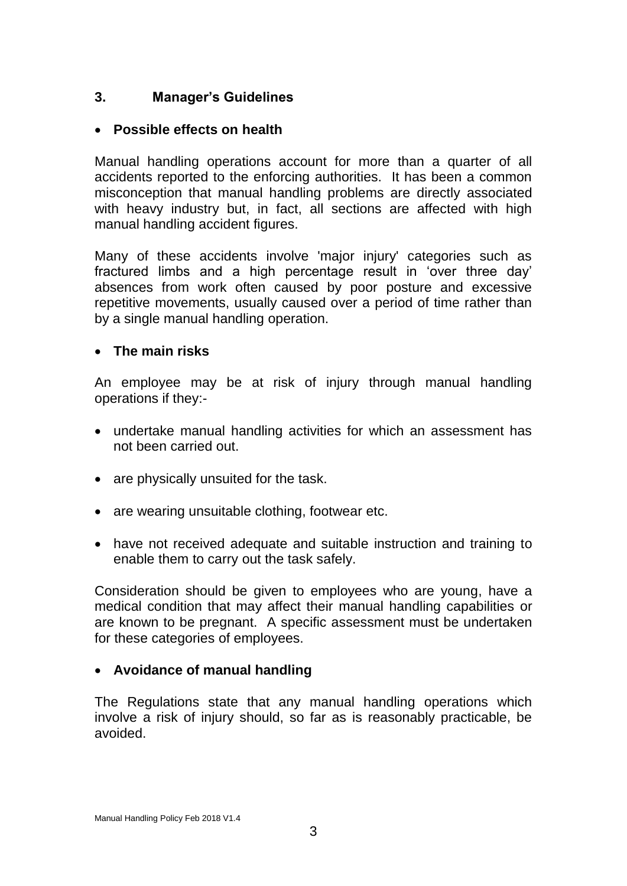# **3. Manager's Guidelines**

# **Possible effects on health**

Manual handling operations account for more than a quarter of all accidents reported to the enforcing authorities. It has been a common misconception that manual handling problems are directly associated with heavy industry but, in fact, all sections are affected with high manual handling accident figures.

Many of these accidents involve 'major injury' categories such as fractured limbs and a high percentage result in 'over three day' absences from work often caused by poor posture and excessive repetitive movements, usually caused over a period of time rather than by a single manual handling operation.

## **The main risks**

An employee may be at risk of injury through manual handling operations if they:-

- undertake manual handling activities for which an assessment has not been carried out.
- are physically unsuited for the task.
- are wearing unsuitable clothing, footwear etc.
- have not received adequate and suitable instruction and training to enable them to carry out the task safely.

Consideration should be given to employees who are young, have a medical condition that may affect their manual handling capabilities or are known to be pregnant. A specific assessment must be undertaken for these categories of employees.

## **Avoidance of manual handling**

The Regulations state that any manual handling operations which involve a risk of injury should, so far as is reasonably practicable, be avoided.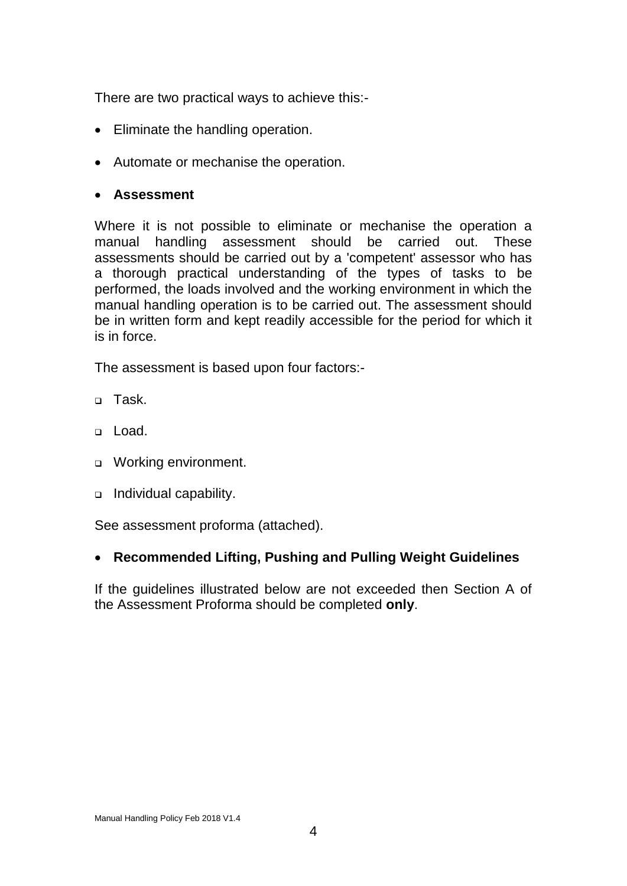There are two practical ways to achieve this:-

- Eliminate the handling operation.
- Automate or mechanise the operation.

#### **Assessment**

Where it is not possible to eliminate or mechanise the operation a manual handling assessment should be carried out. These assessments should be carried out by a 'competent' assessor who has a thorough practical understanding of the types of tasks to be performed, the loads involved and the working environment in which the manual handling operation is to be carried out. The assessment should be in written form and kept readily accessible for the period for which it is in force.

The assessment is based upon four factors:-

- n Task.
- Load.
- □ Working environment.
- □ Individual capability.

See assessment proforma (attached).

#### **Recommended Lifting, Pushing and Pulling Weight Guidelines**

If the guidelines illustrated below are not exceeded then Section A of the Assessment Proforma should be completed **only**.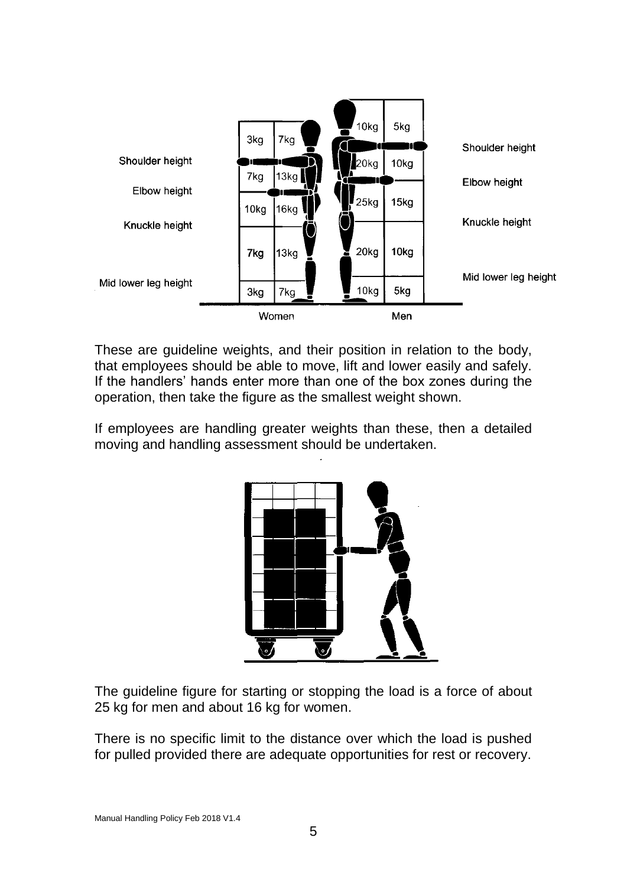

These are guideline weights, and their position in relation to the body, that employees should be able to move, lift and lower easily and safely. If the handlers' hands enter more than one of the box zones during the operation, then take the figure as the smallest weight shown.

If employees are handling greater weights than these, then a detailed moving and handling assessment should be undertaken.



The guideline figure for starting or stopping the load is a force of about 25 kg for men and about 16 kg for women.

There is no specific limit to the distance over which the load is pushed for pulled provided there are adequate opportunities for rest or recovery.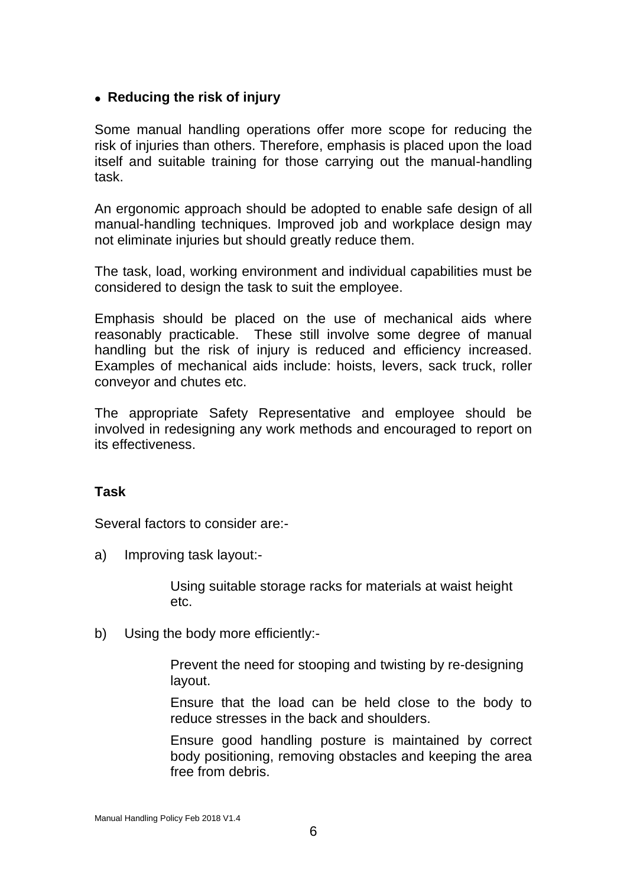## **Reducing the risk of injury**

Some manual handling operations offer more scope for reducing the risk of injuries than others. Therefore, emphasis is placed upon the load itself and suitable training for those carrying out the manual-handling task.

An ergonomic approach should be adopted to enable safe design of all manual-handling techniques. Improved job and workplace design may not eliminate injuries but should greatly reduce them.

The task, load, working environment and individual capabilities must be considered to design the task to suit the employee.

Emphasis should be placed on the use of mechanical aids where reasonably practicable. These still involve some degree of manual handling but the risk of injury is reduced and efficiency increased. Examples of mechanical aids include: hoists, levers, sack truck, roller conveyor and chutes etc.

The appropriate Safety Representative and employee should be involved in redesigning any work methods and encouraged to report on its effectiveness.

#### **Task**

Several factors to consider are:-

a) Improving task layout:-

Using suitable storage racks for materials at waist height etc.

b) Using the body more efficiently:-

Prevent the need for stooping and twisting by re-designing layout.

Ensure that the load can be held close to the body to reduce stresses in the back and shoulders.

Ensure good handling posture is maintained by correct body positioning, removing obstacles and keeping the area free from debris.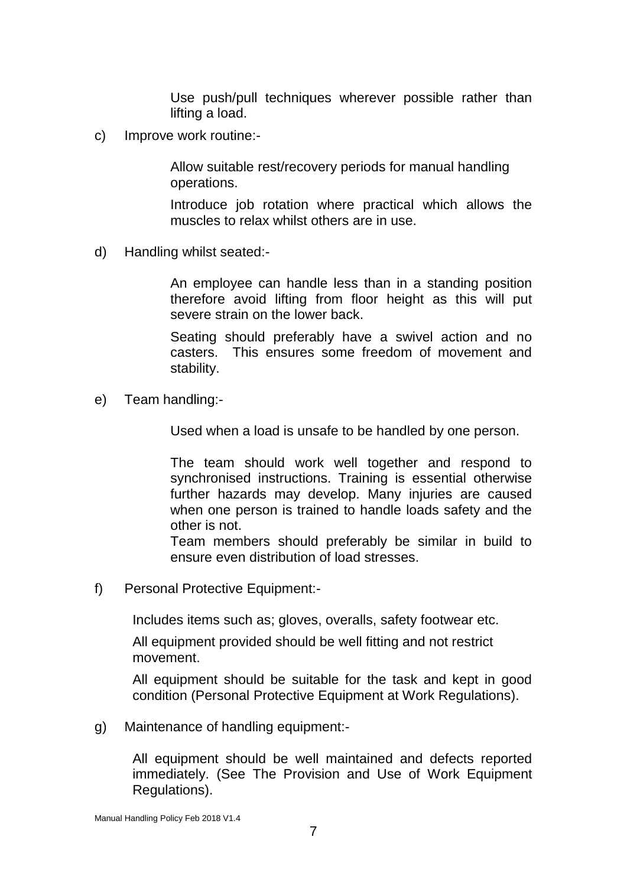Use push/pull techniques wherever possible rather than lifting a load.

c) Improve work routine:-

Allow suitable rest/recovery periods for manual handling operations.

Introduce job rotation where practical which allows the muscles to relax whilst others are in use.

d) Handling whilst seated:-

An employee can handle less than in a standing position therefore avoid lifting from floor height as this will put severe strain on the lower back.

Seating should preferably have a swivel action and no casters. This ensures some freedom of movement and stability.

e) Team handling:-

Used when a load is unsafe to be handled by one person.

The team should work well together and respond to synchronised instructions. Training is essential otherwise further hazards may develop. Many injuries are caused when one person is trained to handle loads safety and the other is not.

Team members should preferably be similar in build to ensure even distribution of load stresses.

f) Personal Protective Equipment:-

Includes items such as; gloves, overalls, safety footwear etc.

All equipment provided should be well fitting and not restrict movement.

All equipment should be suitable for the task and kept in good condition (Personal Protective Equipment at Work Regulations).

g) Maintenance of handling equipment:-

All equipment should be well maintained and defects reported immediately. (See The Provision and Use of Work Equipment Regulations).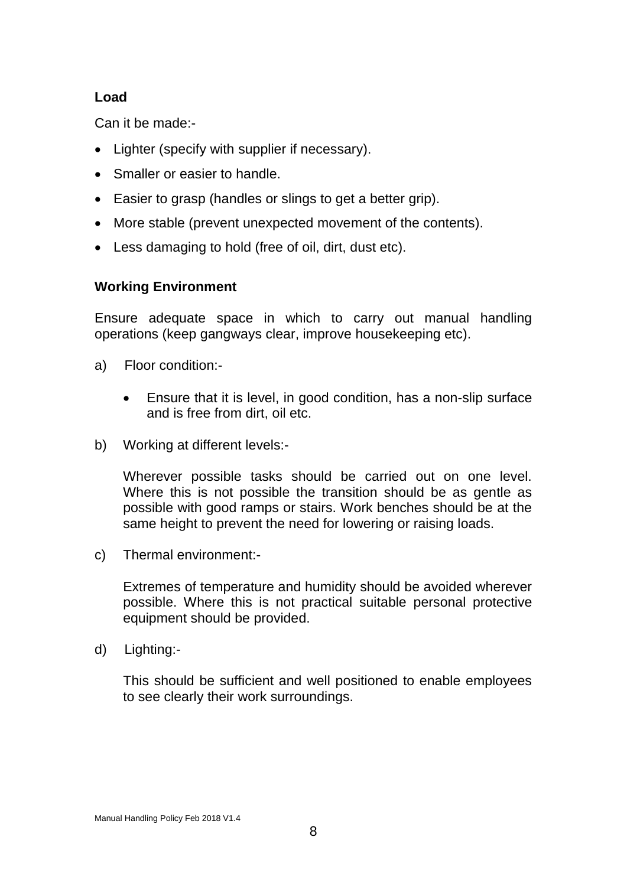# **Load**

Can it be made:-

- Lighter (specify with supplier if necessary).
- Smaller or easier to handle.
- Easier to grasp (handles or slings to get a better grip).
- More stable (prevent unexpected movement of the contents).
- Less damaging to hold (free of oil, dirt, dust etc).

# **Working Environment**

Ensure adequate space in which to carry out manual handling operations (keep gangways clear, improve housekeeping etc).

- a) Floor condition:-
	- Ensure that it is level, in good condition, has a non-slip surface and is free from dirt, oil etc.
- b) Working at different levels:-

Wherever possible tasks should be carried out on one level. Where this is not possible the transition should be as gentle as possible with good ramps or stairs. Work benches should be at the same height to prevent the need for lowering or raising loads.

c) Thermal environment:-

Extremes of temperature and humidity should be avoided wherever possible. Where this is not practical suitable personal protective equipment should be provided.

d) Lighting:-

This should be sufficient and well positioned to enable employees to see clearly their work surroundings.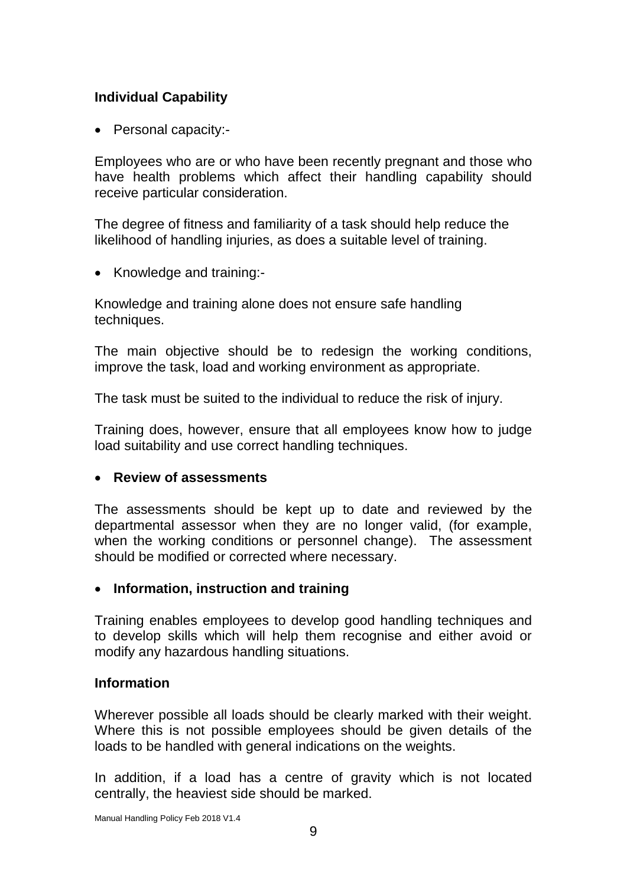# **Individual Capability**

• Personal capacity:-

Employees who are or who have been recently pregnant and those who have health problems which affect their handling capability should receive particular consideration.

The degree of fitness and familiarity of a task should help reduce the likelihood of handling injuries, as does a suitable level of training.

• Knowledge and training:-

Knowledge and training alone does not ensure safe handling techniques.

The main objective should be to redesign the working conditions, improve the task, load and working environment as appropriate.

The task must be suited to the individual to reduce the risk of injury.

Training does, however, ensure that all employees know how to judge load suitability and use correct handling techniques.

#### **Review of assessments**

The assessments should be kept up to date and reviewed by the departmental assessor when they are no longer valid, (for example, when the working conditions or personnel change). The assessment should be modified or corrected where necessary.

## **Information, instruction and training**

Training enables employees to develop good handling techniques and to develop skills which will help them recognise and either avoid or modify any hazardous handling situations.

#### **Information**

Wherever possible all loads should be clearly marked with their weight. Where this is not possible employees should be given details of the loads to be handled with general indications on the weights.

In addition, if a load has a centre of gravity which is not located centrally, the heaviest side should be marked.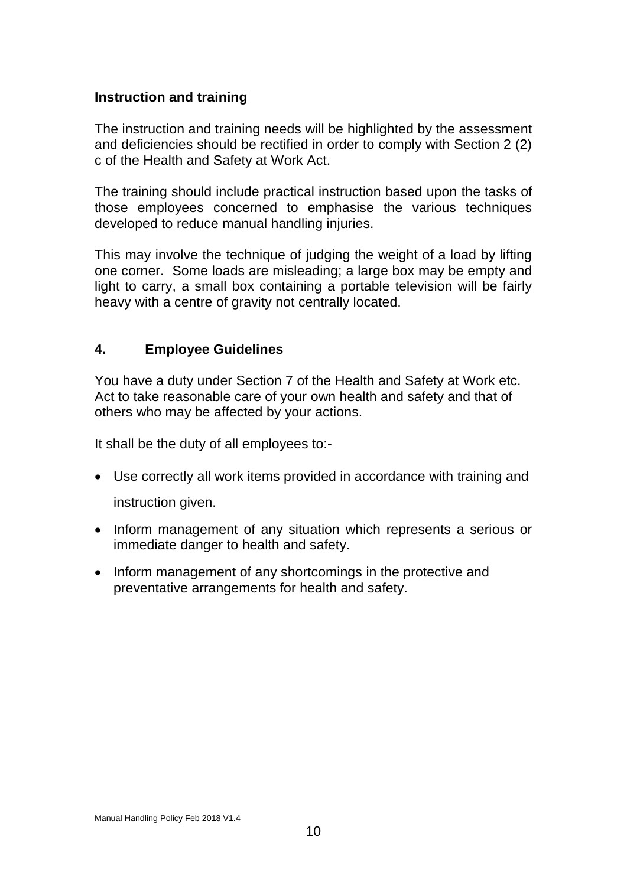#### **Instruction and training**

The instruction and training needs will be highlighted by the assessment and deficiencies should be rectified in order to comply with Section 2 (2) c of the Health and Safety at Work Act.

The training should include practical instruction based upon the tasks of those employees concerned to emphasise the various techniques developed to reduce manual handling injuries.

This may involve the technique of judging the weight of a load by lifting one corner. Some loads are misleading; a large box may be empty and light to carry, a small box containing a portable television will be fairly heavy with a centre of gravity not centrally located.

## **4. Employee Guidelines**

You have a duty under Section 7 of the Health and Safety at Work etc. Act to take reasonable care of your own health and safety and that of others who may be affected by your actions.

It shall be the duty of all employees to:-

 Use correctly all work items provided in accordance with training and instruction given.

- Inform management of any situation which represents a serious or immediate danger to health and safety.
- Inform management of any shortcomings in the protective and preventative arrangements for health and safety.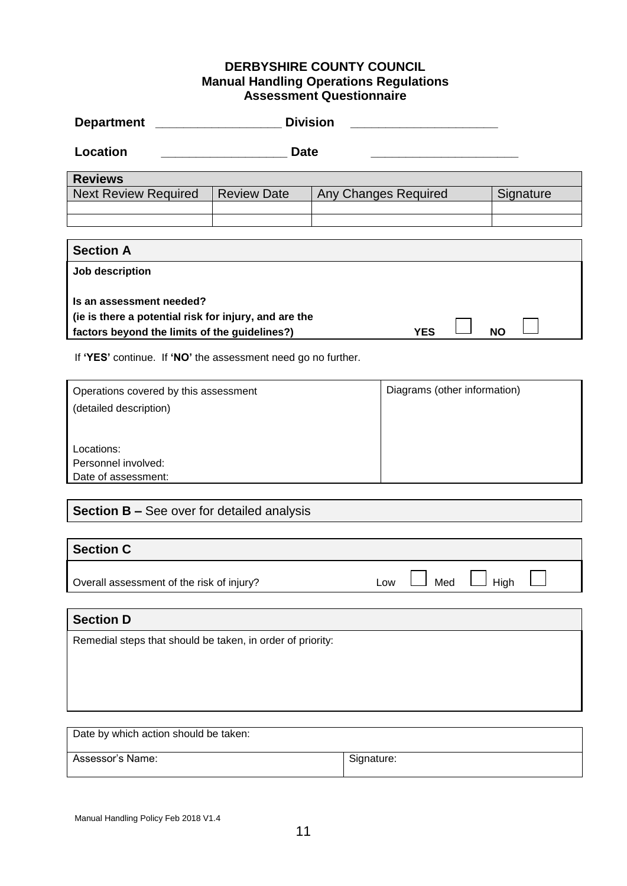#### **DERBYSHIRE COUNTY COUNCIL Manual Handling Operations Regulations Assessment Questionnaire**

| <b>Department</b>                                                                                                                                             | <b>Division</b>    |                                   |            |      |  |  |  |  |
|---------------------------------------------------------------------------------------------------------------------------------------------------------------|--------------------|-----------------------------------|------------|------|--|--|--|--|
| <b>Location</b>                                                                                                                                               | <b>Date</b>        |                                   |            |      |  |  |  |  |
| <b>Reviews</b>                                                                                                                                                |                    |                                   |            |      |  |  |  |  |
| <b>Next Review Required</b>                                                                                                                                   | <b>Review Date</b> | Any Changes Required<br>Signature |            |      |  |  |  |  |
|                                                                                                                                                               |                    |                                   |            |      |  |  |  |  |
| <b>Section A</b>                                                                                                                                              |                    |                                   |            |      |  |  |  |  |
| Job description                                                                                                                                               |                    |                                   |            |      |  |  |  |  |
| Is an assessment needed?<br>(ie is there a potential risk for injury, and are the<br><b>YES</b><br><b>NO</b><br>factors beyond the limits of the guidelines?) |                    |                                   |            |      |  |  |  |  |
| If 'YES' continue. If 'NO' the assessment need go no further.                                                                                                 |                    |                                   |            |      |  |  |  |  |
| Diagrams (other information)<br>Operations covered by this assessment                                                                                         |                    |                                   |            |      |  |  |  |  |
| (detailed description)                                                                                                                                        |                    |                                   |            |      |  |  |  |  |
| Locations:<br>Personnel involved:<br>Date of assessment:                                                                                                      |                    |                                   |            |      |  |  |  |  |
| Section B - See over for detailed analysis                                                                                                                    |                    |                                   |            |      |  |  |  |  |
| <b>Section C</b>                                                                                                                                              |                    |                                   |            |      |  |  |  |  |
| Overall assessment of the risk of injury?                                                                                                                     |                    |                                   | Med<br>Low | High |  |  |  |  |
| <b>Section D</b>                                                                                                                                              |                    |                                   |            |      |  |  |  |  |
| Remedial steps that should be taken, in order of priority:                                                                                                    |                    |                                   |            |      |  |  |  |  |
| Date by which action should be taken:                                                                                                                         |                    |                                   |            |      |  |  |  |  |
| Assessor's Name:                                                                                                                                              | Signature:         |                                   |            |      |  |  |  |  |